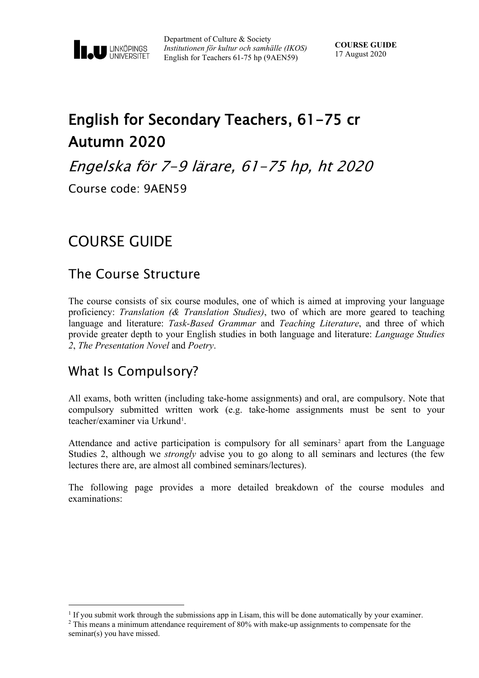

Department of Culture & Society *Institutionen för kultur och samhälle (IKOS)* English for Teachers 61-75 hp (9AEN59)

# English for Secondary Teachers, 61-75 cr Autumn 2020

Engelska för 7-9 lärare, 61-75 hp, ht 2020

Course code: 9AEN59

# COURSE GUIDE

### The Course Structure

The course consists of six course modules, one of which is aimed at improving your language proficiency: *Translation (& Translation Studies)*, two of which are more geared to teaching language and literature: *Task-Based Grammar* and *Teaching Literature*, and three of which provide greater depth to your English studies in both language and literature: *Language Studies 2*, *The Presentation Novel* and *Poetry*.

# What Is Compulsory?

All exams, both written (including take-home assignments) and oral, are compulsory. Note that compulsory submitted written work (e.g. take-home assignments must be sent to your teacher/examiner via Urkund<sup>1</sup>.

Attendance and active participation is compulsory for all seminars<sup>[2](#page-0-1)</sup> apart from the Language Studies 2, although we *strongly* advise you to go along to all seminars and lectures (the few lectures there are, are almost all combined seminars/lectures).

The following page provides a more detailed breakdown of the course modules and examinations:

<span id="page-0-0"></span> $<sup>1</sup>$  If you submit work through the submissions app in Lisam, this will be done automatically by your examiner.</sup>

<span id="page-0-1"></span><sup>&</sup>lt;sup>2</sup> This means a minimum attendance requirement of 80% with make-up assignments to compensate for the seminar(s) you have missed.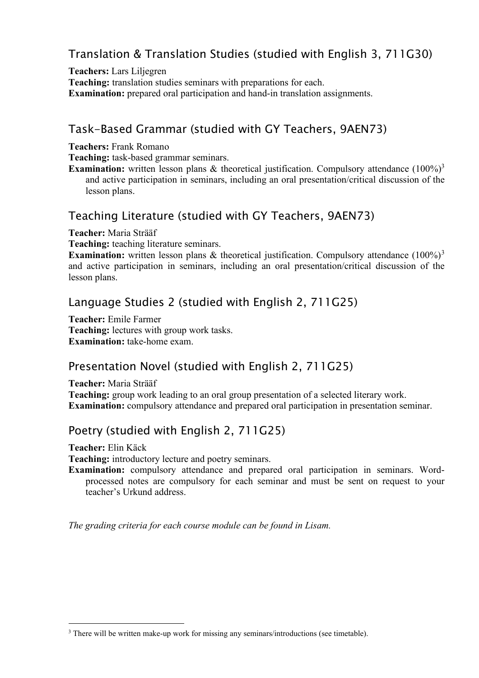## Translation & Translation Studies (studied with English 3, 711G30)

**Teachers:** Lars Liljegren **Teaching:** translation studies seminars with preparations for each. **Examination:** prepared oral participation and hand-in translation assignments.

#### Task-Based Grammar (studied with GY Teachers, 9AEN73)

**Teachers:** Frank Romano

**Teaching:** task-based grammar seminars.

**Examination:** written lesson plans & theoretical justification. Compulsory attendance (100%)<sup>3</sup> and active participation in seminars, including an oral presentation/critical discussion of the lesson plans.

#### Teaching Literature (studied with GY Teachers, 9AEN73)

**Teacher:** Maria Strääf

**Teaching:** teaching literature seminars.

**Examination:** written lesson plans & theoretical justification. Compulsory attendance (100%)<sup>[3](#page-1-0)</sup> and active participation in seminars, including an oral presentation/critical discussion of the lesson plans.

#### Language Studies 2 (studied with English 2, 711G25)

**Teacher:** Emile Farmer **Teaching:** lectures with group work tasks. **Examination:** take-home exam.

#### Presentation Novel (studied with English 2, 711G25)

**Teacher:** Maria Strääf

**Teaching:** group work leading to an oral group presentation of a selected literary work. **Examination:** compulsory attendance and prepared oral participation in presentation seminar.

### Poetry (studied with English 2, 711G25)

**Teacher:** Elin Käck

**Teaching:** introductory lecture and poetry seminars.

**Examination:** compulsory attendance and prepared oral participation in seminars. Wordprocessed notes are compulsory for each seminar and must be sent on request to your teacher's Urkund address.

*The grading criteria for each course module can be found in Lisam.*

<span id="page-1-0"></span><sup>&</sup>lt;sup>3</sup> There will be written make-up work for missing any seminars/introductions (see timetable).